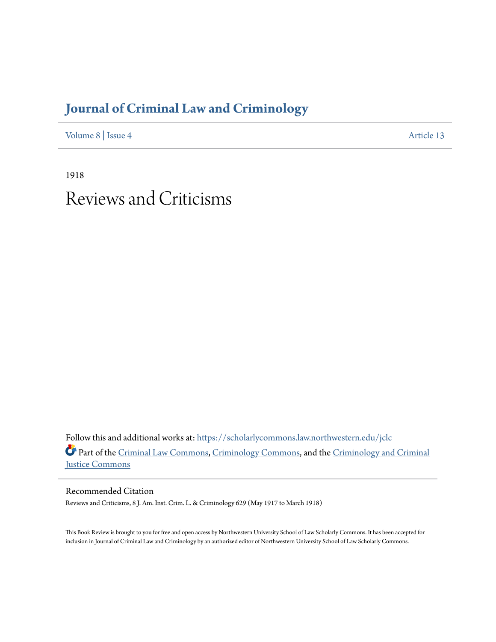## **[Journal of Criminal Law and Criminology](https://scholarlycommons.law.northwestern.edu/jclc?utm_source=scholarlycommons.law.northwestern.edu%2Fjclc%2Fvol8%2Fiss4%2F13&utm_medium=PDF&utm_campaign=PDFCoverPages)**

[Volume 8](https://scholarlycommons.law.northwestern.edu/jclc/vol8?utm_source=scholarlycommons.law.northwestern.edu%2Fjclc%2Fvol8%2Fiss4%2F13&utm_medium=PDF&utm_campaign=PDFCoverPages) | [Issue 4](https://scholarlycommons.law.northwestern.edu/jclc/vol8/iss4?utm_source=scholarlycommons.law.northwestern.edu%2Fjclc%2Fvol8%2Fiss4%2F13&utm_medium=PDF&utm_campaign=PDFCoverPages) [Article 13](https://scholarlycommons.law.northwestern.edu/jclc/vol8/iss4/13?utm_source=scholarlycommons.law.northwestern.edu%2Fjclc%2Fvol8%2Fiss4%2F13&utm_medium=PDF&utm_campaign=PDFCoverPages)

1918 Reviews and Criticisms

Follow this and additional works at: [https://scholarlycommons.law.northwestern.edu/jclc](https://scholarlycommons.law.northwestern.edu/jclc?utm_source=scholarlycommons.law.northwestern.edu%2Fjclc%2Fvol8%2Fiss4%2F13&utm_medium=PDF&utm_campaign=PDFCoverPages) Part of the [Criminal Law Commons](http://network.bepress.com/hgg/discipline/912?utm_source=scholarlycommons.law.northwestern.edu%2Fjclc%2Fvol8%2Fiss4%2F13&utm_medium=PDF&utm_campaign=PDFCoverPages), [Criminology Commons](http://network.bepress.com/hgg/discipline/417?utm_source=scholarlycommons.law.northwestern.edu%2Fjclc%2Fvol8%2Fiss4%2F13&utm_medium=PDF&utm_campaign=PDFCoverPages), and the [Criminology and Criminal](http://network.bepress.com/hgg/discipline/367?utm_source=scholarlycommons.law.northwestern.edu%2Fjclc%2Fvol8%2Fiss4%2F13&utm_medium=PDF&utm_campaign=PDFCoverPages) [Justice Commons](http://network.bepress.com/hgg/discipline/367?utm_source=scholarlycommons.law.northwestern.edu%2Fjclc%2Fvol8%2Fiss4%2F13&utm_medium=PDF&utm_campaign=PDFCoverPages)

Recommended Citation

Reviews and Criticisms, 8 J. Am. Inst. Crim. L. & Criminology 629 (May 1917 to March 1918)

This Book Review is brought to you for free and open access by Northwestern University School of Law Scholarly Commons. It has been accepted for inclusion in Journal of Criminal Law and Criminology by an authorized editor of Northwestern University School of Law Scholarly Commons.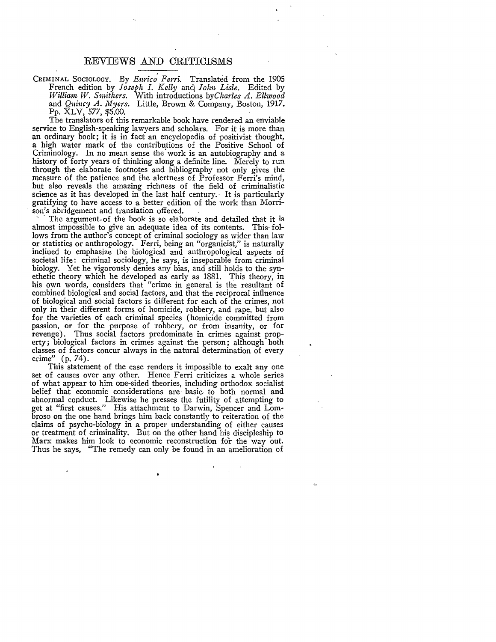## REVIEWS **AND** CRITICISMS

CRIMINAL SOCIOLOGY. By *Enrico Ferri.* Translated from the 1905 French edition **by** *Joseph I. Kelly* and4 *John Lisle.* Edited **by** *William W. Smithers.* With introductions *byCharles A. Ellwood* and *Quincy A. Myers.* Little, Brown & Company, Boston, 1917. Pp. XLV, 577, \$5.00.

The translators of this remarkable book have rendered an enviable service to English-speaking lawyers and scholars. For it is more than an ordinary book; it is in fact an encyclopedia of positivist thought, a high water mark of the contributions of the Positive School of Criminology. In no mean sense the'work is an autobiography and a history of forty years of thinking along a definite line. Merely to run through the elaborate footnotes and bibliography not only gives the measure of the patience and the alertness of Professor Ferri's mind, but also reveals the amazing richness of the field of criminalistic science as it has developed in the last half century. It is particularly gratifying to have access to a better edition of the work than Morrison's abridgement and translation offered.

The argument.of the book is so elaborate and detailed that it is almost impossible to give an adequate idea of its contents. This follows from the author's concept of criminal sociology as wider than law or statistics or anthropology. Ferri, being an "organicist," is naturally inclined to emphasize the biological and anthropological aspects of societal life: criminal sociology, he says, is inseparable from criminal biology. Yet he vigorously denies any bias, and still holds to the synethetic theory which he developed as early as 1881. This theory, in his own words, considers that "crime in general is the resultant of combined biological and social factors, and that the reciprocal influence of biological and social factors is different for each of the crimes, not only in their different forms of homicide, robbery, and rape, but also for the varieties of each criminal species (homicide committed from passion, or for the purpose of robbery, or from insanity, or for revenge). Thus social factors predominate in crimes against property; biological factors in crimes against the person; although both classes of factors concur always in the natural determination of every crime" **(p.** 74).

This statement of the case renders it impossible to exalt any one set of causes over any other. Hence Ferri criticizes a whole series of what appear to him one-sided theories, including orthodox socialist belief that economic considerations are basic to both normal and abnormal conduct. Likewise he presses the futility of attempting to get at "first causes." His attachment to Darwin, Spencer and Lombroso on the one hand brings him back constantly to reiteration of the claims of psycho-biology in a proper understanding of either causes or treatment of criminality. But on the other hand his discipleship to Marx makes him look to economic reconstruction for the way out. Thus he says, "The remedy can only be found in an amelioration of

ر<br>سا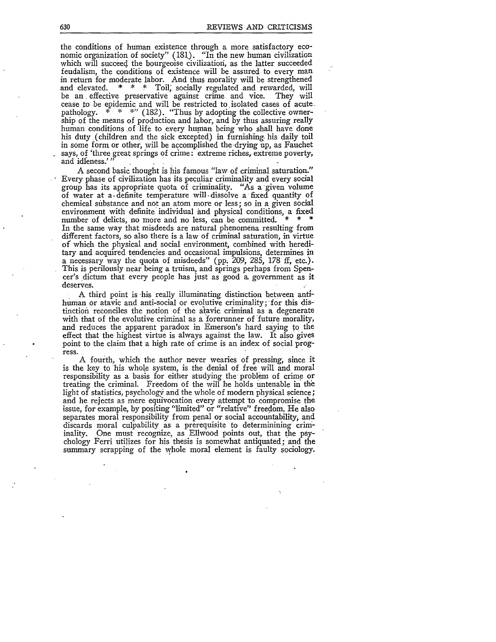the conditions of human existence through a more satisfactory economic organization of society" (181). "In the new human civilization which will succeed the bourgeoise civilization, as the latter succeeded feudalism, the conditions of existence will be assured to every man in return for moderate labor. And thus morality will be strengthened and elevated. \* \* \* Toil, socially regulated and rewarded, will<br>be an effective preservative against crime and vice. They will be an effective preservative against crime and vice. cease to be epidemic and will be restricted to isolated cases of acute. pathology.  $* * *$  (182). "Thus by adopting the collective ownership of the means of production and labor, and by thus assuring really human conditions of life to every human being who shall have done his duty (children and the sick excepted) in furnishing, his daily toil in some form or other, will be accomplished the drying up, as Fauchet says, of 'three great springs of crime: extreme riches, extreme poverty, and idleness."

A second basic thought is his famous "law of criminal saturation." Every phase of civilization has its peculiar criminality and every social group has its appropriate quota of criminality. "As a given volume of water at a- definite temperature will.dissolve a fixed quantity of chemical suibstance and not an atom more or less; so in a given social environment with definite individual and physical conditions, a fixed number of delicts, no more and no less, can be committed. In the same way that misdeeds are natural phenomena resulting from different factors, so also there is a law of criminal saturation, in virtue of which the physical and social environment, combined with hereditary and acquired tendencies and occasional impulsions, determines in a necessary way the quota of misdeeds" (pp.  $209$ ,  $285$ ,  $178$  ff, etc.). This is perilously near being a truism, and springs perhaps from Spencer's dictum that every people has just as good a government as it deserves.

A third point is -his really illuminating distinction between ant{ human or atavic and anti-social or evolutive criminality; for this distinction reconciles the notion of the atavic criminal as a degenerate with that of the evolutive criminal as a forerunner of future morality, and reduces the apparent paradox in Emerson's hard saying to the effect that the highest virtue is always against the law. It also gives point to the claim that a high rate of crime is an index of social progress.

**A** fourth, which the author never wearies of pressing, since it is the key to his whole system, is the denial of free will and moral responsibility as a basis for either studying the problem of crime or treating the criminal. Freedom of the will he holds untenable in the light of statistics, psychology and the whole of modern physical science; and he rejects as mere equivocation every attempt to compromise the issue, for example, by positing "limited" or "relative" freedom. He also separates moral responsibility from penal or social accountability, and discards moral culpability as a prerequisite to determinining criminality. One must recognize, as Ellwood points out, that the psychology Ferri utilizes for his thesis is somewhat antiquated; and the summary scrapping of the whole moral element is faulty sociology.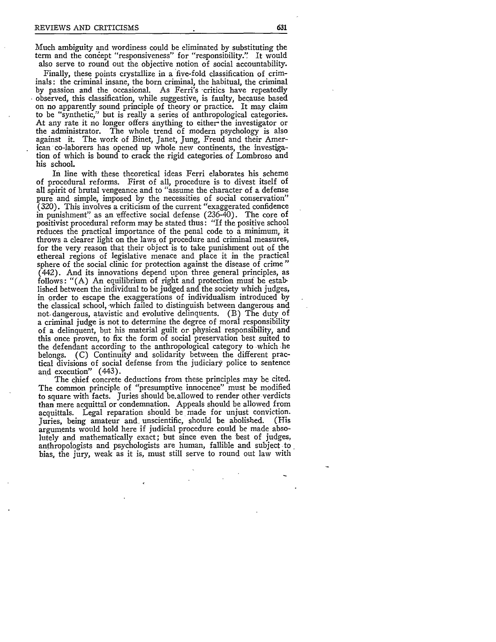Much ambiguity and wordiness could be eliminated by substituting the term and the concept "responsiveness" for "responsibility." It would also serve to round out the objective notion of social accountability.

Finally, these points crystallize in a five-fold classification of criminals: the criminal insane, the born criminal, the habitual, the criminal by passion and the occasional. As Ferri's -critics have repeatedly observed, this classification, while suggestive, is faulty, because based on no apparently sound principle of theory or practice. It may claim to be "synthetic," but is really a series of anthropological categories. At any rate it no longer offers anything to either' the investigator or the administrator. The whole trend of modem psychology is also against it. The work of Binet, Janet, Jung, Freud and their American co-laborers has opened up whole new continents, the investigation of which is bound to crack the rigid categories, of Lombroso and his school.

In line with these theoretical ideas Ferri elaborates his scheme of procedural reforms. First of all, procedure is to divest itself of all spirit of brutal vengeance and to "assume the character of a defense pure and simple, imposed by the necessities of social conservation"  $(320)$ . This involves a criticism of the current "exaggerated confidence in punishment" as an effective social defense  $(236-40)$ . The core of positivist procedural reform may be stated thus: "If the positive school reduces the practical importance of the penal code to a minimum, it throws a clearer light on the laws of procedure and criminal measures, for the very reason that their object is to take punishment out of the ethereal regions of legislative menace and place it in the practical sphere of the social clinic for protection against the disease of crime" (442). And its innovations depend upon three general principles, as follows: "(A) An equilibrium of right and protection must be established between the individual to be judged and the society which judges, in order to escape the exaggerations of individualism introduced by the classical school, which failed to distinguish between dangerous and not. dangerous, atavistic and evolutive delinquents. (B) The duty of a criminal judge is not to determine the degree of moral responsibility of a delinquent, but his material guilt or physical responsibility, and this once proven, to fix the form of social preservation best suited to the defendant according to the anthropological category to which he belongs. (C) Continuity and solidarity between the different practical divisions of social defense from the judiciary police to sentence and execution" (443).

The chief concrete deductions from these principles may be cited. The common principle of "presumptive innocence" must be modified to square with facts. Juries should be.allowed to render other verdicts than mere acquittal or condemnation. Appeals should be allowed from acquittals. Legal reparation should be made for unjust conviction. Juries, being amateur and unscientific, should be abolished. arguments would hold here if judicial procedure could be made absolutely and mathematically exact; but since even the 'best of judges, anthropologists and psychologists are human, fallible and subject to bias, the jury, weak as it is, must still serve to round out law with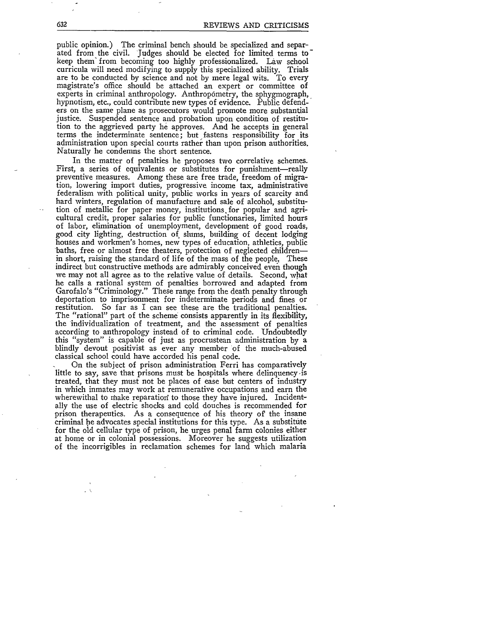public opinion.) The criminal bench should be specialized and separated from the civil. Judges should be elected for limited terms to keep them" from becoming too highly professionalized. Law school curricula will need modifying to supply this specialized ability. Trials are to be conducted by science and not by mere legal wits. To every magistrate's office should be attached an expert or committee of experts in criminal anthropology. Anthropometry, the sphygmograph, hypnotism, etc., could contribute new types of evidence. Public defenders on the same plane as prosecutors would promote more substantial justice. Suspended sentence and probation upon condition of restitution to the aggrieved party he approves. And he accepts in general terms the indeterminate sentence; but fastens responsibility for its administration upon special courts rather than upon prison authorities. Naturally he condemns the short sentence.

In the matter of penalties he proposes two correlative schemes. First, a series of equivalents or substitutes for punishment-really preventive measures. Among these are free trade, freedom of migration, lowering import duties, progressive income tax, administrative federalism with political unity, public works in years of scarcity and hard winters, regulation of manufacture and sale of alcohol, substitution of metallic for paper money, institutions, for popular and agricultural credit, proper salaries for public functionaries, limited hours of labor, elimination of unemployment, development of good roads, good city lighting, destruction of. slums, building of decent lodging houses and workmen's homes, new types of education, athletics, public baths, free or almost free theaters, protection of neglected childrenin short, raising the standard of life of the mass of the people, These indirect but constructive methods are admirably conceived even though we may not all agree as to the relative value of details. Second, what he calls a rational system of penalties borrowed and adapted from Garofalo's "Criminology." These range from the death penalty through deportation to imprisonment for indeterminate periods and fines or restitution. So far as I can see these are the traditional penalties. The "rational" part of the scheme consists apparently in its flexibility, the individualization of treatment, and the assessment of penalties according to anthropology instead of to criminal code. Undoubtedly this "system" is capable of just as procrustean administration by a blindly devout positivist as ever any member of the much-abused classical school could have accorded his penal code.

On the subject of prison administration Ferri has comparatively little to say, save that prisons must be hospitals where delinquency-is treated, that they must not be places of ease but centers of industry in which inmates may work at remunerative occupations and earn the wherewithal to make reparation to those they have injured. Incidentally the use of electric shocks and cold douches is recommended for prison therapeutics. As a consequence of his theory of the insane criminal he advocates special institutions for this type. As a substitute for the old cellular type of prison, he urges penal farm colonies either at home or in colonial possessions. Moreover he suggests utilization of the incorrigibles in reclamation schemes for land which malaria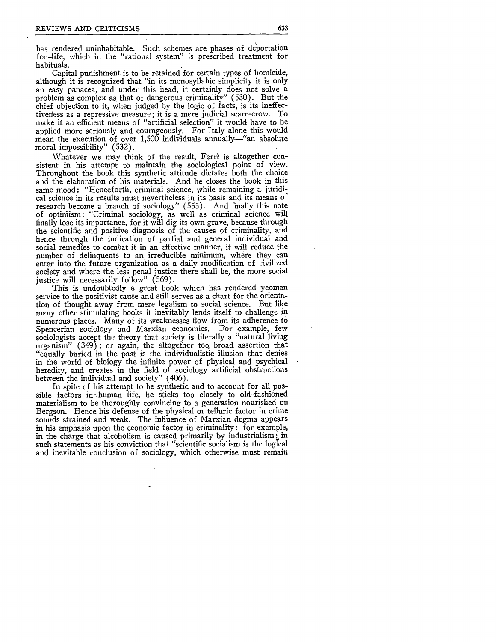has rendered uninhabitable. Such schemes are phases of deportation for-life, which in the "rational system" is prescribed treatment for habituals.

Capital punishment is to be retained for certain types of homicide, although it is recognized that "in its monosyllabic simplicity it is only an easy panacea, and under this head, it certainly does not solve a problem as complex as that of dangerous criminality" (530). But the chief objection to it, when judged by the logic of facts, is its ineffectiveiess as a repressive measure; it is a mere judicial scare-crow. To make it an efficient means of "artificial selection" it would have to be applied more seriously and courageously. For Italy alone this would mean the execution of over 1,500 individuals annually-"an absolute moral impossibility" (532).

Whatever we may think of the result, Ferri is altogether consistent in his attempt to maintain the sociological point of view. Throughout the book this synthetic attitude dictates both the choice and the elaboration of his materials. And he closes the book in this same mood: "Henceforth, criminal science, while remaining a juridical science in its results must nevertheless in its basis and its means of research become a branch of sociology" (555). And finally this note of optimism: "Criminal sociology, as well as criminal science will finally lose its importance, for it will dig its own grave, because through the scientific and positive diagnosis of the causes of criminality, and hence through the indication of partial and general individual and social remedies to combat it in an effective manner, it will reduce the number of delinquents to an irreducible minimum, where they can enter into the future organization as a daily modification of civilized society and where the less penal justice there shall be, the more social justice will necessarily follow" (569).

This is undoubtedly a great book which has rendered yeoman service to the positivist cause and still serves as a chart for the orientation of thought away from mere legalism to social science. But like many other stimulating books it inevitably lends itself to challenge in numerous places. Many of its weaknesses flow from its adherence to Spencerian sociology and Marxian economics. For example, few sociologists accept the theory that society is literally a "natural living organism" (349); or again, the altogether too broad assertion that "equally buried in the past is the individualistic illusion that denies in the world of biology the infinite power of physical and psychical heredity, and creates in the field, of sociology artificial obstructions between the individual and society" (406).

In spite of his attempt to be synthetic and to account for all possible factors in human life, he sticks too closely to old-fashioned materialism to be thoroughly convincing to a generation nourished on Bergson. Hence his defense of the physical or telluric factor in crime sounds strained and weak. The influence of Marxian dogma appears in his emphasis upon the economic factor in criminality: for example, in the charge that alcoholism is caused primarily by industrialism; in such statements as his conviction that "scientific socialism is the logical and inevitable conclusion of sociology, which otherwise must remain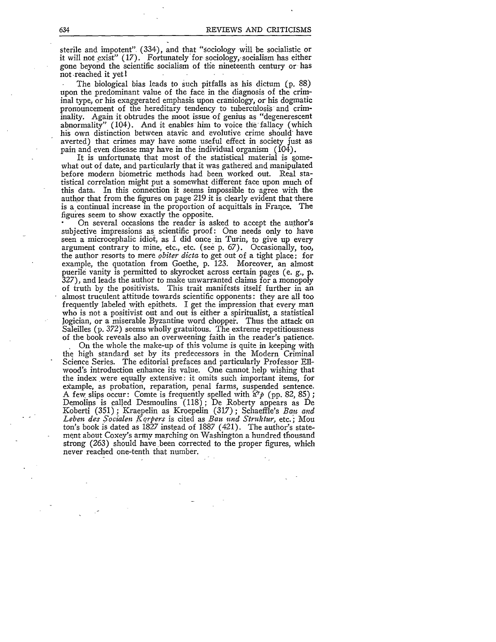sterile and impotent" (334), and that "sociology will be socialistic or it will not exist" (17). Fortunately for sociology, socialism has either gone beyond the scientific socialism of the nineteenth century or has not-reached it yet!

The biological bias leads to such pitfalls as his dictum (p. 88) upon the predominant value of the face in the diagnosis of the criminal type, or his exaggerated emphasis upon craniology, or his dogmatic pronouncement of the hereditary tendency to tuberculosis and criminality. Again it obtrudes the moot issue of genius as "degenerescent abnormality" (104). And it enables him to voice the fallacy (which his own distinction between atavic and evolutive crime should have averted) that crimes may have some useful effect in society just as pain and even disease may have in the individual organism  $(104)$ .

It is unfortunate that most of the statistical material is somewhat out of date, and particularly that it was gathered and manipulated before modern biometric methods had been worked out. Real statistical correlation might put a somewhat different face upon much of this data. In this connection it seems impossible to agree with the author that from the figures on page 219 it is clearly evident that there is a continual increase in the propoition of acquittals in France. The figures seem to show exactly the opposite.

On several occasions the reader is asked to accept the author's subjective impressions as scientific proof: One needs only to have seen a microcephalic idiot, as I did once in Turin, to give up every argument contrary to mine, etc., etc. (see p. 67). Occasionally, too, the author resorts to mere *obiter dicta* to get out of a tight place: for example, the quotation from Goethe, p. 123. Moreover. an almost puerile vanity is permitted to skyrocket across certain pages (e. g., p. 327), and leads the author to make unwarranted claims for a monopoly of truth by the positivists. This trait manifests itself further in an almost truculent attitude towards scientific opponents: they are all too frequently labeled with epithets. I get the impression that every man who is not a positivist out and out is either a spiritualist, a statistical logician, or a miserable Byzantine word choppei. Thus the attack on Saleilles (p. 372) seems wholly gratuitous. The extreme repetitiousness of the book reveals also an overweening faith in the reader's patience.

On the whole the make-up of this volume is quite in keeping with the high standard set by its predecessors in the Modern Criminal Science Series. The editorial prefaces and particularly Professor Ellwood's introduction enhance its value. One cannot. help wishing that the index were equally extensive: it omits such important items, for example, as probation, reparation, penal farms, suspended sentence. A few slips occur: Comte is frequently spelled with  $a^2p$  (pp. 82, 85); Demolins is called Desmoulins (118); De Roberty appears as De Koberti (351); Kraepelin as Kroepelin (317); Schaeffle's *Bau and Leben des Socialen Korpers* is cited as *Bait und Struktur,* etc.; Mou ton's book is dated as 1827 instead of 1887 (421). The author's statement about Coxey's army marching on Washington a hundred thousand strong (263) should have been corrected to the proper figures, which never reached one-tenth that number.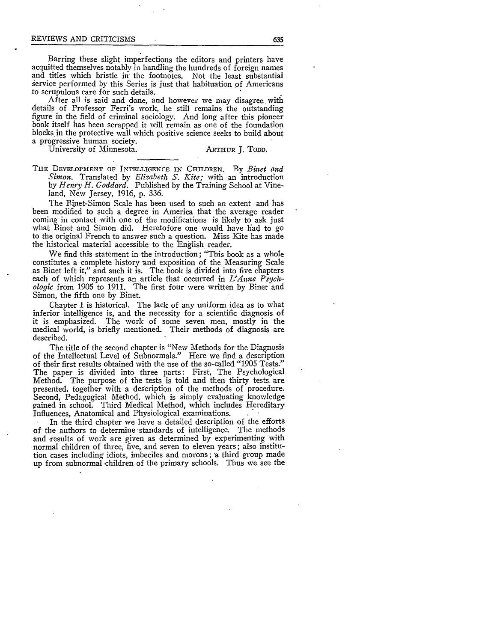Barring these slight imperfections the editors and printers have acquitted themselves notably in handling the hundreds of foreign names and titles which bristle **ir** the footnotes. Not the least substantial service performed **by** this Series is just that habituation of Americans to scrupulous care for such details.

After all is said and done, and however we may disagree with details of Professor Ferri's work, he still remains the outstanding figure in the field of criminal sociology. And long after this pioneer book itself has been scrapped it will remain as one of the foundation blocks in the protective wall which positive science seeks to build about a progressive human society.

University of Minnesota. ARTHUR J. TODD.

TiIE **DEVELOPMENT** OF INTELLIGENCE IN CHILDREN. By *Binet and Simon.* Translated by *Elizabeth S. Kite;* with an introduction by *Henry H. Goddard.* Published by the Training School at Vineland, New Jersey, 1916, p. 336.

The Binet-Simon Scale has been used to such an extent and has been modified to such a degree in America that the average reader coming in contact with one of the modifications is likely to ask just what Binet and Simon did. Heretofore one would have had to go to the original French to answer such a question. Miss Kite has made the historical material accessible to the English reader.

We find this statement in the introduction; "This book as a whole constitutes a complete history and exposition of the Measuring Scale as Binet left it," and such it is. The book is divided into five chapters each of which represents an article that occurred in *L'Anne Psychologic* from 1905 to 1911. The first four were written by Binet and Simon, the fifth one by Binet.

Chapter I is historical. The lack of any uniform idea as to what inferior intelligence is, and the necessity for a scientific diagnosis of it is emphasized. The work of some seven men, mostly in the medical world, is briefly mentioned. Their methods of diagnosis are described.

The title of the second chapter is "New Methods for the Diagnosis of the Intellectual Level of Subnormals." Here we find a description of their first results obtained with the use of the so-called "1905 Tests." The paper is divided into three parts: First, The Psychological Method. The purpose of the tests is told and then thirty tests are presented, together with a description of the methods of procedure. Second, Pedagogical Method, which is simply evaluating knowledge gained in school. Third Medical Method, which includes Hereditary Influences, Anatomical and Physiological examinations.

In the third chapter we have a detailed description of the efforts of- the authors to determine -standards of intelligence. The methods and results of work are given as determined by experimenting with normal children of three, five, and seven to eleven years; also institution cases including idiots, imbeciles and morons; a third group made up from subnormal children of the primary schools. Thus we see the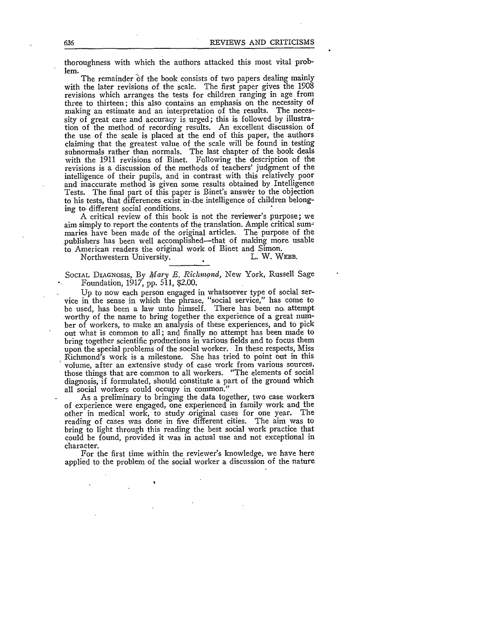thoroughness with which the authors attacked this most vital problem.

The remainder of the book consists of two papers dealing mainly with the later revisions of the scale. The first paper gives the 1908 revisions which arranges the tests for children ranging in age from three to thirteen; this also contains an emphasis on the necessity of making an estimate and an interpretation of the results. The necessity of great care and accuracy is urged; this is followed by illustration of the method of recording results. An excellent discussion of the use of the scale is placed at the end of this paper, the authors claiming that the greatest value of the scale will be found in testing subnormals rather than normals. The last chapter of the book deals with the 1911 revisions of Binet. Following the description of the revisions is a discussion of the methods of teachers' judgment of the intelligence of their pupils, and in contrast with this relatively poor and inaccurate method is given some results obtained by Intelligence Tests. The final part of this paper is Binet's answer to the objection to his tests, that differences exist in-the intelligence of children belonging to- different social conditions.

A critical review of this book is not the reviewer's purpose; we aim simply to report the contents of the translation. Ample critical summaries have been made of the original articles. The purpose of the publishers has been well accomplished-that of making more usable to American readers the original work of Binet and Simon.

Northwestern University.

SOCIAL DIAGNOsIs, **By** *Mary* **E.** *Richnond,* New York, Russell Sage Foundation, 1917, pp. 511, \$2.00.

Up to now each person engaged in whatsoever type of social service in the sense in which the phrase, "social service," has come to be used, has been a law unto himself. There has been no. attempt worthy of the name to bring together the experience of a great number of workers, to make an analysis of these experiences, and to pick out what is common to all; and finally no attempt has been made to bring together scientific productions in various fields and to focus them upon the special problems of the social worker. In these respects, Miss Richmond's work is a milestone. She has tried to point out in this volume, after an extensive study of case work from various sources. those things that are common to all workers. "The elements of social diagnosis, if formulated, should constitute a part of the ground which all social workers could occupy in common.'

As a preliminary to bringing the data together, two case workers of experience were engaged, one experienced in family work and the other in medical work, to study original cases for one year. The reading of cases was done in five different cities. The aim was to bring to light through this reading the best social work practice that could be found, provided it was in actual use and not exceptional in character.

For the first time within the reviewer's knowledge, we have here applied to the problem of the social worker a discussion of the nature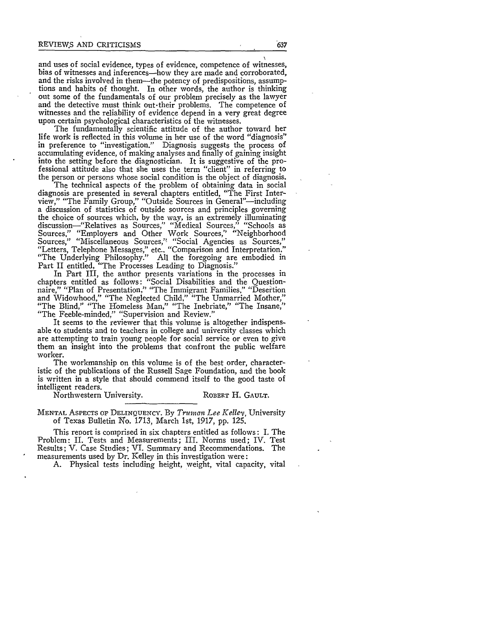and uses of social evidence, types of evidence, competence of witnesses, bias of witnesses and inferences-how they are made and corroborated, and the risks involved in them---the potency of predispositions, assumptions and habits of thought. In other words, the author is thinking out some of the fundamentals of our problem precisely as the lawyer and the detective must think out-their problems. The competence of witnesses and the reliability of evidence depend in a very great degree upon certain psychological characteristics of the witnesses.

The fundamentally scientific attitude of the author toward her life work is reflected in this volume in her use of the word "diagnosis" in preference to "investigation." Diagnosis suggests the process of accumulating evidence, of making analyses and finally of gaining insight into the setting before the diagnostician. It is suggestive of the professional attitude also that she uses the term "client" in referring to the person or persons whose social condition is the object of diagnosis.

The technical aspects of the problem of obtaining data in social diagnosis are presented in several chapters entitled, "The First Interview," "The Family Group," "Outside Sources in General"—including a discussion of statistics of outside sources and principles governing the choice of sources which, **by** the way, is an extremely illuminating discussion--"Relatives as Sources," "Medical Sources," "Schools as Sources," "Employers and Other Work Sources," "Neighborhood Sources," "Miscellaneous Sources,'' "Social Agencies as Sources," "Letters, Telephone Messages," etc., "Comparison and Interpretation." "The Underlying Philosophy." All the foregoing are embodied in Part II entitled, "The Processes Leading to Diagnosis.'

In Part III, the author presents variations in the processes in chapters entitled as follows: "Social Disabilities and the Questionnaire," "Plan of Presentation," "The Immigrant Families," "Desertion and Widowhood," "The Neglected Child," "The Unmarried Mother," "The Blind," "The Homeless Man," "The Inebriate," "The Insane," "The Feeble-minded," "Supervision and Review.'

It seems to the reviewer that this volume is altogether indispens-It seems to the reviewer that this volume is altogether indispensable to students and to teachers in college and university classes which are attempting to train young people for social service or even to give them an insight into the problems that confront the public welfare worker.

The workmanship on this volume is of the best order, characteristic of the publications of the Russell Sage Foundation, and the book is written in a style that should commend itself to the good taste of intelligent readers.

Northwestern University. ROBERT H. **GAULT.**

**MENTAL** ASPECTS **OF** DELINQUENCY. By Truman *Lee Kellev,* University of Texas Bulletin No. 1713, March 1st, 1917, **pp. 125.**

This report is comprised in six chapters entitled as follows: I. The Problem: II. Tests and Measurements; III. Norms used; IV. Test Results; V. Case Studies; VI. Summary and Recommendations. The measurements used **by** Dr. Kelley in this investigation were:

**A.** Physical tests including height, weight, vital capacity, vital